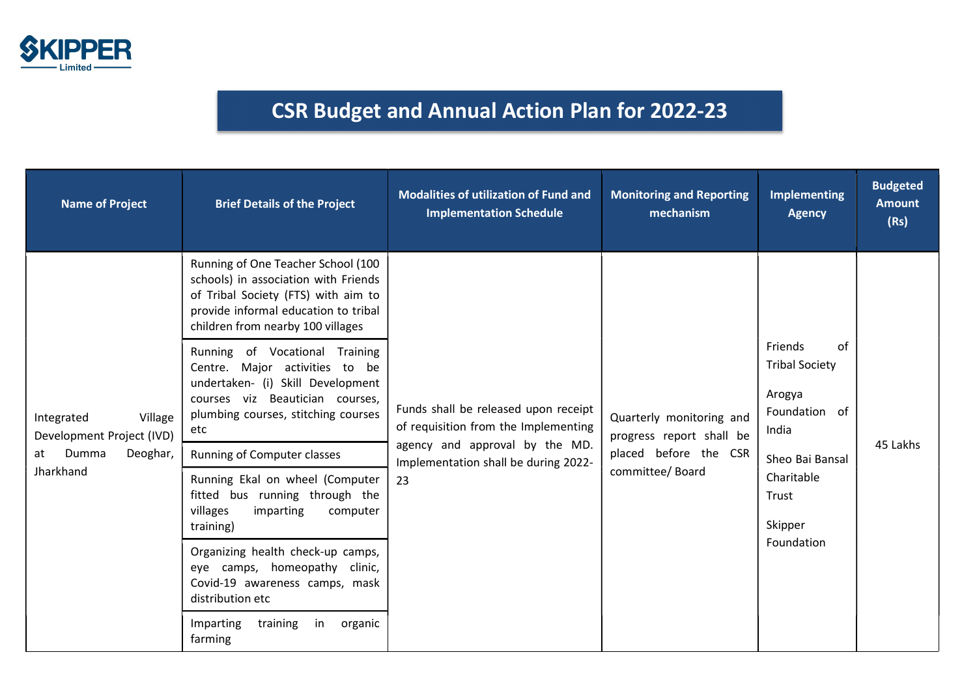

## CSR Budget and Annual Action Plan for 2022-23

| <b>Name of Project</b>                                                                     | <b>Brief Details of the Project</b>                                                                                                                                                            | <b>Modalities of utilization of Fund and</b><br><b>Implementation Schedule</b>                                                                               | <b>Monitoring and Reporting</b><br>mechanism                                                     | <b>Implementing</b><br><b>Agency</b>                                                                                                          | <b>Budgeted</b><br><b>Amount</b><br>(Rs) |
|--------------------------------------------------------------------------------------------|------------------------------------------------------------------------------------------------------------------------------------------------------------------------------------------------|--------------------------------------------------------------------------------------------------------------------------------------------------------------|--------------------------------------------------------------------------------------------------|-----------------------------------------------------------------------------------------------------------------------------------------------|------------------------------------------|
| Integrated<br>Village<br>Development Project (IVD)<br>Dumma<br>Deoghar,<br>at<br>Jharkhand | Running of One Teacher School (100<br>schools) in association with Friends<br>of Tribal Society (FTS) with aim to<br>provide informal education to tribal<br>children from nearby 100 villages | Funds shall be released upon receipt<br>of requisition from the Implementing<br>agency and approval by the MD.<br>Implementation shall be during 2022-<br>23 | Quarterly monitoring and<br>progress report shall be<br>placed before the CSR<br>committee/Board |                                                                                                                                               |                                          |
|                                                                                            | Running of Vocational<br>Training<br>Centre. Major activities to be<br>undertaken- (i) Skill Development<br>courses viz Beautician courses,<br>plumbing courses, stitching courses<br>etc      |                                                                                                                                                              |                                                                                                  | of<br>Friends<br><b>Tribal Society</b><br>Arogya<br>Foundation of<br>India<br>Sheo Bai Bansal<br>Charitable<br>Trust<br>Skipper<br>Foundation | 45 Lakhs                                 |
|                                                                                            | Running of Computer classes                                                                                                                                                                    |                                                                                                                                                              |                                                                                                  |                                                                                                                                               |                                          |
|                                                                                            | Running Ekal on wheel (Computer<br>fitted bus running through the<br>villages<br>imparting<br>computer<br>training)                                                                            |                                                                                                                                                              |                                                                                                  |                                                                                                                                               |                                          |
|                                                                                            | Organizing health check-up camps,<br>eye camps, homeopathy clinic,<br>Covid-19 awareness camps, mask<br>distribution etc                                                                       |                                                                                                                                                              |                                                                                                  |                                                                                                                                               |                                          |
|                                                                                            | in<br>Imparting<br>training<br>organic<br>farming                                                                                                                                              |                                                                                                                                                              |                                                                                                  |                                                                                                                                               |                                          |